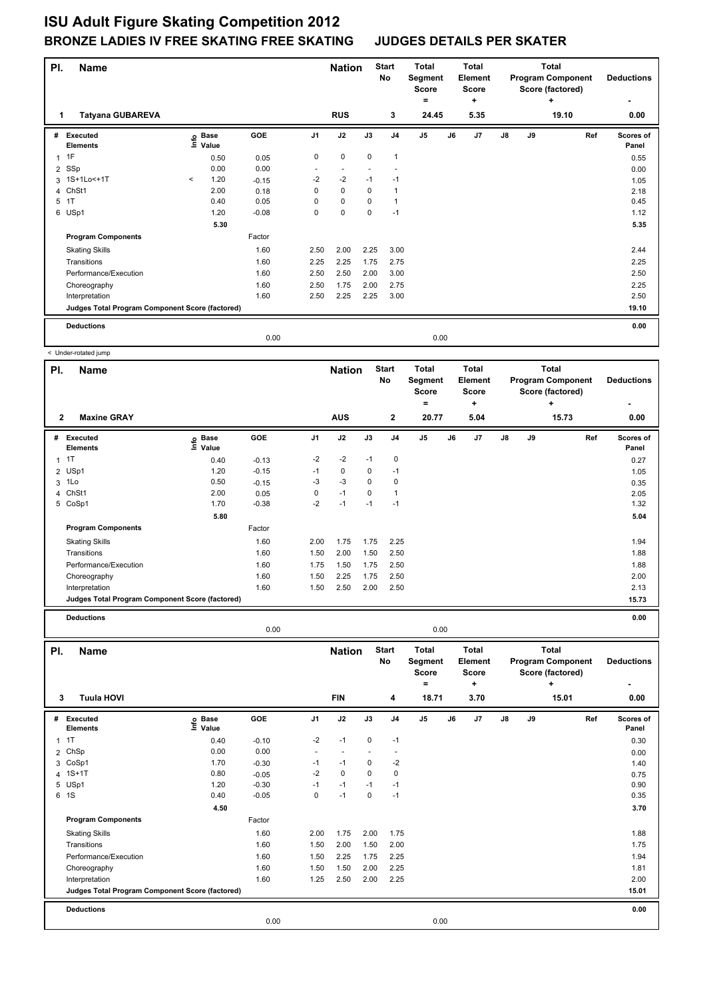٦

| PI.            | Name                                            |         |                            | <b>Nation</b> |                | <b>Start</b><br>No | Total<br>Segment<br><b>Score</b><br>۰ | Total<br>Element<br>Score<br>٠ |                |                      | Total<br><b>Program Component</b><br>Score (factored)<br>٠ | <b>Deductions</b> |       |                    |
|----------------|-------------------------------------------------|---------|----------------------------|---------------|----------------|--------------------|---------------------------------------|--------------------------------|----------------|----------------------|------------------------------------------------------------|-------------------|-------|--------------------|
|                | <b>Tatyana GUBAREVA</b>                         |         |                            |               |                | <b>RUS</b>         |                                       | 3                              | 24.45          | 5.35                 |                                                            |                   | 19.10 | 0.00               |
| #              | Executed<br><b>Elements</b>                     |         | e Base<br>E Value<br>Value | GOE           | J <sub>1</sub> | J2                 | J3                                    | J <sub>4</sub>                 | J <sub>5</sub> | J <sub>7</sub><br>J6 | $\mathsf{J}8$                                              | J9                | Ref   | Scores of<br>Panel |
|                | 1F                                              |         | 0.50                       | 0.05          | $\mathbf 0$    | $\mathbf 0$        | $\mathbf 0$                           | 1                              |                |                      |                                                            |                   |       | 0.55               |
| $\overline{2}$ | SSp                                             |         | 0.00                       | 0.00          |                |                    |                                       |                                |                |                      |                                                            |                   |       | 0.00               |
|                | 3 1S+1Lo<+1T                                    | $\prec$ | 1.20                       | $-0.15$       | $-2$           | $-2$               | $-1$                                  | $-1$                           |                |                      |                                                            |                   |       | 1.05               |
|                | 4 ChSt1                                         |         | 2.00                       | 0.18          | 0              | 0                  | $\Omega$                              |                                |                |                      |                                                            |                   |       | 2.18               |
| 5              | 1T                                              |         | 0.40                       | 0.05          | 0              | $\mathbf 0$        | 0                                     |                                |                |                      |                                                            |                   |       | 0.45               |
|                | 6 USp1                                          |         | 1.20                       | $-0.08$       | 0              | $\pmb{0}$          | $\mathbf 0$                           | $-1$                           |                |                      |                                                            |                   |       | 1.12               |
|                |                                                 |         | 5.30                       |               |                |                    |                                       |                                |                |                      |                                                            |                   |       | 5.35               |
|                | <b>Program Components</b>                       |         |                            | Factor        |                |                    |                                       |                                |                |                      |                                                            |                   |       |                    |
|                | <b>Skating Skills</b>                           |         |                            | 1.60          | 2.50           | 2.00               | 2.25                                  | 3.00                           |                |                      |                                                            |                   |       | 2.44               |
|                | Transitions                                     |         |                            | 1.60          | 2.25           | 2.25               | 1.75                                  | 2.75                           |                |                      |                                                            |                   |       | 2.25               |
|                | Performance/Execution                           |         |                            | 1.60          | 2.50           | 2.50               | 2.00                                  | 3.00                           |                |                      |                                                            |                   |       | 2.50               |
|                | Choreography                                    |         |                            | 1.60          | 2.50           | 1.75               | 2.00                                  | 2.75                           |                |                      |                                                            |                   |       | 2.25               |
|                | Interpretation                                  |         |                            | 1.60          | 2.50           | 2.25               | 2.25                                  | 3.00                           |                |                      |                                                            |                   |       | 2.50               |
|                | Judges Total Program Component Score (factored) |         |                            |               |                |                    |                                       |                                |                |                      |                                                            |                   |       | 19.10              |
|                | <b>Deductions</b>                               |         |                            |               |                |                    |                                       |                                |                |                      |                                                            |                   |       | 0.00               |
|                |                                                 |         |                            | 0.00          |                |                    |                                       |                                | 0.00           |                      |                                                            |                   |       |                    |

|                     | < Under-rotated jump                            |                              |            |                |                             |      |                                    |                                                         |    |                                                      |               |    |                                                                            |                                             |
|---------------------|-------------------------------------------------|------------------------------|------------|----------------|-----------------------------|------|------------------------------------|---------------------------------------------------------|----|------------------------------------------------------|---------------|----|----------------------------------------------------------------------------|---------------------------------------------|
| PI.<br>$\mathbf{2}$ | <b>Name</b><br><b>Maxine GRAY</b>               |                              |            |                | <b>Nation</b><br><b>AUS</b> |      | <b>Start</b><br>No<br>$\mathbf{2}$ | <b>Total</b><br>Segment<br><b>Score</b><br>$=$<br>20.77 |    | <b>Total</b><br>Element<br><b>Score</b><br>٠<br>5.04 |               |    | <b>Total</b><br><b>Program Component</b><br>Score (factored)<br>÷<br>15.73 | <b>Deductions</b><br>$\blacksquare$<br>0.00 |
| #                   | <b>Executed</b><br><b>Elements</b>              | <b>Base</b><br>١nfo<br>Value | <b>GOE</b> | J <sub>1</sub> | J2                          | J3   | J4                                 | J <sub>5</sub>                                          | J6 | J <sub>7</sub>                                       | $\mathsf{J}8$ | J9 | Ref                                                                        | <b>Scores of</b><br>Panel                   |
| $\mathbf{1}$        | 1T                                              | 0.40                         | $-0.13$    | $-2$           | $-2$                        | $-1$ | 0                                  |                                                         |    |                                                      |               |    |                                                                            | 0.27                                        |
|                     | 2 USp1                                          | 1.20                         | $-0.15$    | $-1$           | 0                           | 0    | $-1$                               |                                                         |    |                                                      |               |    |                                                                            | 1.05                                        |
|                     | $3$ 1 Lo                                        | 0.50                         | $-0.15$    | $-3$           | $-3$                        | 0    | 0                                  |                                                         |    |                                                      |               |    |                                                                            | 0.35                                        |
|                     | 4 ChSt1                                         | 2.00                         | 0.05       | 0              | $-1$                        | 0    |                                    |                                                         |    |                                                      |               |    |                                                                            | 2.05                                        |
|                     | 5 CoSp1                                         | 1.70                         | $-0.38$    | $-2$           | $-1$                        | $-1$ | $-1$                               |                                                         |    |                                                      |               |    |                                                                            | 1.32                                        |
|                     |                                                 | 5.80                         |            |                |                             |      |                                    |                                                         |    |                                                      |               |    |                                                                            | 5.04                                        |
|                     | <b>Program Components</b>                       |                              | Factor     |                |                             |      |                                    |                                                         |    |                                                      |               |    |                                                                            |                                             |
|                     | <b>Skating Skills</b>                           |                              | 1.60       | 2.00           | 1.75                        | 1.75 | 2.25                               |                                                         |    |                                                      |               |    |                                                                            | 1.94                                        |
|                     | Transitions                                     |                              | 1.60       | 1.50           | 2.00                        | 1.50 | 2.50                               |                                                         |    |                                                      |               |    |                                                                            | 1.88                                        |
|                     | Performance/Execution                           |                              | 1.60       | 1.75           | 1.50                        | 1.75 | 2.50                               |                                                         |    |                                                      |               |    |                                                                            | 1.88                                        |
|                     | Choreography                                    |                              | 1.60       | 1.50           | 2.25                        | 1.75 | 2.50                               |                                                         |    |                                                      |               |    |                                                                            | 2.00                                        |
|                     | Interpretation                                  |                              | 1.60       | 1.50           | 2.50                        | 2.00 | 2.50                               |                                                         |    |                                                      |               |    |                                                                            | 2.13                                        |
|                     | Judges Total Program Component Score (factored) |                              |            |                |                             |      |                                    |                                                         |    |                                                      |               |    |                                                                            | 15.73                                       |

**Deductions 0.00**

|                |                                                 |                            | 0.00    |                |                             |             |                          | 0.00                                                  |    |                                                      |               |    |                                                                            |     |                           |
|----------------|-------------------------------------------------|----------------------------|---------|----------------|-----------------------------|-------------|--------------------------|-------------------------------------------------------|----|------------------------------------------------------|---------------|----|----------------------------------------------------------------------------|-----|---------------------------|
| PI.<br>3       | <b>Name</b><br><b>Tuula HOVI</b>                |                            |         |                | <b>Nation</b><br><b>FIN</b> |             | <b>Start</b><br>No<br>4  | <b>Total</b><br>Segment<br><b>Score</b><br>۰<br>18.71 |    | <b>Total</b><br>Element<br><b>Score</b><br>÷<br>3.70 |               |    | <b>Total</b><br><b>Program Component</b><br>Score (factored)<br>+<br>15.01 |     | <b>Deductions</b><br>0.00 |
| #              | Executed<br><b>Elements</b>                     | e Base<br>E Value<br>Value | GOE     | J <sub>1</sub> | J2                          | J3          | J <sub>4</sub>           | J <sub>5</sub>                                        | J6 | J7                                                   | $\mathsf{J}8$ | J9 |                                                                            | Ref | Scores of<br>Panel        |
|                | $1$ 1T                                          | 0.40                       | $-0.10$ | $-2$           | $-1$                        | 0           | $-1$                     |                                                       |    |                                                      |               |    |                                                                            |     | 0.30                      |
| $\overline{2}$ | ChSp                                            | 0.00                       | 0.00    |                |                             |             | $\overline{\phantom{a}}$ |                                                       |    |                                                      |               |    |                                                                            |     | 0.00                      |
| 3              | CoSp1                                           | 1.70                       | $-0.30$ | $-1$           | $-1$                        | 0           | $-2$                     |                                                       |    |                                                      |               |    |                                                                            |     | 1.40                      |
|                | 4 1S+1T                                         | 0.80                       | $-0.05$ | $-2$           | $\mathbf 0$                 | $\Omega$    | 0                        |                                                       |    |                                                      |               |    |                                                                            |     | 0.75                      |
|                | 5 USp1                                          | 1.20                       | $-0.30$ | $-1$           | $-1$                        | $-1$        | $-1$                     |                                                       |    |                                                      |               |    |                                                                            |     | 0.90                      |
|                | 6 1S                                            | 0.40                       | $-0.05$ | 0              | $-1$                        | $\mathbf 0$ | $-1$                     |                                                       |    |                                                      |               |    |                                                                            |     | 0.35                      |
|                |                                                 | 4.50                       |         |                |                             |             |                          |                                                       |    |                                                      |               |    |                                                                            |     | 3.70                      |
|                | <b>Program Components</b>                       |                            | Factor  |                |                             |             |                          |                                                       |    |                                                      |               |    |                                                                            |     |                           |
|                | <b>Skating Skills</b>                           |                            | 1.60    | 2.00           | 1.75                        | 2.00        | 1.75                     |                                                       |    |                                                      |               |    |                                                                            |     | 1.88                      |
|                | Transitions                                     |                            | 1.60    | 1.50           | 2.00                        | 1.50        | 2.00                     |                                                       |    |                                                      |               |    |                                                                            |     | 1.75                      |
|                | Performance/Execution                           |                            | 1.60    | 1.50           | 2.25                        | 1.75        | 2.25                     |                                                       |    |                                                      |               |    |                                                                            |     | 1.94                      |
|                | Choreography                                    |                            | 1.60    | 1.50           | 1.50                        | 2.00        | 2.25                     |                                                       |    |                                                      |               |    |                                                                            |     | 1.81                      |
|                | Interpretation                                  |                            | 1.60    | 1.25           | 2.50                        | 2.00        | 2.25                     |                                                       |    |                                                      |               |    |                                                                            |     | 2.00                      |
|                | Judges Total Program Component Score (factored) |                            |         |                |                             |             |                          |                                                       |    |                                                      |               |    |                                                                            |     | 15.01                     |
|                | <b>Deductions</b>                               |                            |         |                |                             |             |                          |                                                       |    |                                                      |               |    |                                                                            |     | 0.00                      |
|                |                                                 |                            | 0.00    |                |                             |             |                          | 0.00                                                  |    |                                                      |               |    |                                                                            |     |                           |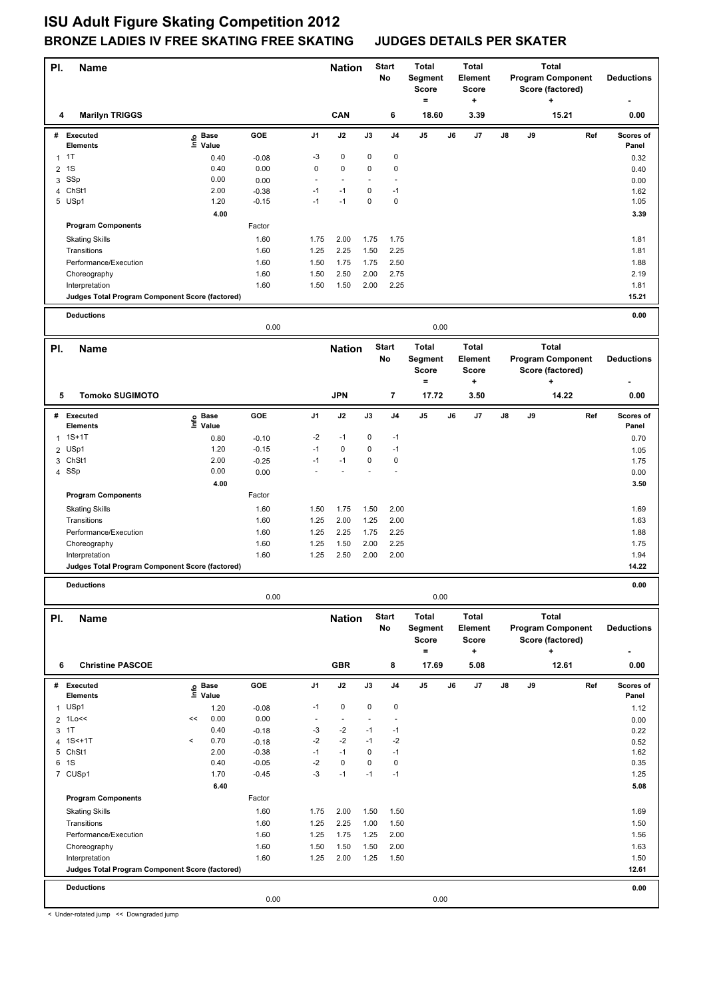| PI.            | <b>Name</b>                                     |                    |                 |                | <b>Nation</b>                 |                     | <b>Start</b><br>No | <b>Total</b><br>Segment<br><b>Score</b><br>$\equiv$ |    | <b>Total</b><br><b>Element</b><br><b>Score</b><br>٠. | <b>Total</b><br><b>Program Component</b><br>Score (factored)<br>٠ |    |                                          | <b>Deductions</b> |                    |
|----------------|-------------------------------------------------|--------------------|-----------------|----------------|-------------------------------|---------------------|--------------------|-----------------------------------------------------|----|------------------------------------------------------|-------------------------------------------------------------------|----|------------------------------------------|-------------------|--------------------|
| 4              | <b>Marilyn TRIGGS</b>                           |                    |                 |                | CAN                           |                     | 6                  | 18.60                                               |    | 3.39                                                 |                                                                   |    | 15.21                                    |                   | 0.00               |
| #              | <b>Executed</b><br><b>Elements</b>              | e Base<br>⊆ Value  | GOE             | J <sub>1</sub> | J2                            | J3                  | J4                 | $\mathsf{J}5$                                       | J6 | J7                                                   | J8                                                                | J9 |                                          | Ref               | Scores of<br>Panel |
| $\mathbf{1}$   | 1T                                              | 0.40               | $-0.08$         | -3             | 0                             | 0                   | 0                  |                                                     |    |                                                      |                                                                   |    |                                          |                   | 0.32               |
| 2              | 1S                                              | 0.40               | 0.00            | 0              | 0                             | 0                   | 0                  |                                                     |    |                                                      |                                                                   |    |                                          |                   | 0.40               |
| 3              | SSp                                             | 0.00               | 0.00            | $\overline{a}$ | $\sim$                        |                     | $\sim$             |                                                     |    |                                                      |                                                                   |    |                                          |                   | 0.00               |
|                | 4 ChSt1                                         | 2.00               | $-0.38$         | $-1$           | $-1$                          | 0                   | $-1$               |                                                     |    |                                                      |                                                                   |    |                                          |                   | 1.62               |
|                | 5 USp1                                          | 1.20               | $-0.15$         | $-1$           | $-1$                          | 0                   | 0                  |                                                     |    |                                                      |                                                                   |    |                                          |                   | 1.05               |
|                |                                                 | 4.00               |                 |                |                               |                     |                    |                                                     |    |                                                      |                                                                   |    |                                          |                   | 3.39               |
|                | <b>Program Components</b>                       |                    | Factor          |                |                               |                     |                    |                                                     |    |                                                      |                                                                   |    |                                          |                   |                    |
|                | <b>Skating Skills</b>                           |                    | 1.60            | 1.75           | 2.00                          | 1.75                | 1.75               |                                                     |    |                                                      |                                                                   |    |                                          |                   | 1.81               |
|                | Transitions                                     |                    | 1.60            | 1.25           | 2.25                          | 1.50                | 2.25               |                                                     |    |                                                      |                                                                   |    |                                          |                   | 1.81               |
|                | Performance/Execution                           |                    | 1.60            | 1.50           | 1.75                          | 1.75                | 2.50               |                                                     |    |                                                      |                                                                   |    |                                          |                   | 1.88               |
|                | Choreography                                    |                    | 1.60            | 1.50           | 2.50                          | 2.00                | 2.75               |                                                     |    |                                                      |                                                                   |    |                                          |                   | 2.19               |
|                | Interpretation                                  |                    | 1.60            | 1.50           | 1.50                          | 2.00                | 2.25               |                                                     |    |                                                      |                                                                   |    |                                          |                   | 1.81<br>15.21      |
|                | Judges Total Program Component Score (factored) |                    |                 |                |                               |                     |                    |                                                     |    |                                                      |                                                                   |    |                                          |                   |                    |
|                | <b>Deductions</b>                               |                    | 0.00            |                |                               |                     |                    | 0.00                                                |    |                                                      |                                                                   |    |                                          |                   | 0.00               |
|                |                                                 |                    |                 |                |                               |                     |                    |                                                     |    |                                                      |                                                                   |    |                                          |                   |                    |
| PI.            | <b>Name</b>                                     |                    |                 |                | <b>Nation</b>                 |                     | <b>Start</b><br>No | Total<br>Segment                                    |    | <b>Total</b><br>Element                              |                                                                   |    | <b>Total</b><br><b>Program Component</b> |                   | <b>Deductions</b>  |
|                |                                                 |                    |                 |                |                               |                     |                    | <b>Score</b>                                        |    | <b>Score</b>                                         |                                                                   |    | Score (factored)                         |                   |                    |
|                |                                                 |                    |                 |                |                               |                     |                    | $\equiv$                                            |    | ٠                                                    |                                                                   |    |                                          |                   |                    |
| 5              | <b>Tomoko SUGIMOTO</b>                          |                    |                 |                | <b>JPN</b>                    |                     | 7                  | 17.72                                               |    | 3.50                                                 |                                                                   |    | 14.22                                    |                   | 0.00               |
| #              | <b>Executed</b><br><b>Elements</b>              | e Base<br>⊑ Value  | GOE             | J1             | J2                            | J3                  | J4                 | J5                                                  | J6 | J7                                                   | J8                                                                | J9 |                                          | Ref               | Scores of<br>Panel |
| 1              | $1S+1T$                                         | 0.80               | $-0.10$         | -2             | $-1$                          | 0                   | $-1$               |                                                     |    |                                                      |                                                                   |    |                                          |                   | 0.70               |
| $\overline{2}$ | USp1                                            | 1.20               | $-0.15$         | $-1$           | 0                             | 0                   | $-1$               |                                                     |    |                                                      |                                                                   |    |                                          |                   | 1.05               |
|                | 3 ChSt1                                         | 2.00               | $-0.25$         | $-1$           | $-1$                          | 0                   | 0                  |                                                     |    |                                                      |                                                                   |    |                                          |                   | 1.75               |
|                | 4 SSp                                           | 0.00               | 0.00            |                |                               |                     |                    |                                                     |    |                                                      |                                                                   |    |                                          |                   | 0.00               |
|                |                                                 | 4.00               |                 |                |                               |                     |                    |                                                     |    |                                                      |                                                                   |    |                                          |                   | 3.50               |
|                | <b>Program Components</b>                       |                    | Factor          |                |                               |                     |                    |                                                     |    |                                                      |                                                                   |    |                                          |                   |                    |
|                | <b>Skating Skills</b>                           |                    | 1.60            | 1.50           | 1.75                          | 1.50                | 2.00               |                                                     |    |                                                      |                                                                   |    |                                          |                   | 1.69               |
|                | Transitions                                     |                    | 1.60            | 1.25           | 2.00                          | 1.25                | 2.00               |                                                     |    |                                                      |                                                                   |    |                                          |                   | 1.63               |
|                | Performance/Execution                           |                    | 1.60            | 1.25           | 2.25                          | 1.75                | 2.25               |                                                     |    |                                                      |                                                                   |    |                                          |                   | 1.88               |
|                | Choreography                                    |                    | 1.60            | 1.25           | 1.50                          | 2.00                | 2.25               |                                                     |    |                                                      |                                                                   |    |                                          |                   | 1.75               |
|                | Interpretation                                  |                    | 1.60            | 1.25           | 2.50                          | 2.00                | 2.00               |                                                     |    |                                                      |                                                                   |    |                                          |                   | 1.94               |
|                | Judges Total Program Component Score (factored) |                    |                 |                |                               |                     |                    |                                                     |    |                                                      |                                                                   |    |                                          |                   | 14.22              |
|                | <b>Deductions</b>                               |                    |                 |                |                               |                     |                    |                                                     |    |                                                      |                                                                   |    |                                          |                   | 0.00               |
|                |                                                 |                    | 0.00            |                |                               |                     |                    | 0.00                                                |    |                                                      |                                                                   |    |                                          |                   |                    |
| PI.            | <b>Name</b>                                     |                    |                 |                | <b>Nation</b>                 |                     | <b>Start</b>       | Total                                               |    | <b>Total</b>                                         |                                                                   |    | <b>Total</b>                             |                   |                    |
|                |                                                 |                    |                 |                |                               |                     | No                 | Segment                                             |    | Element                                              |                                                                   |    | <b>Program Component</b>                 |                   | <b>Deductions</b>  |
|                |                                                 |                    |                 |                |                               |                     |                    | <b>Score</b>                                        |    | <b>Score</b>                                         |                                                                   |    | Score (factored)                         |                   |                    |
|                |                                                 |                    |                 |                |                               |                     |                    | $\equiv$                                            |    | $\ddot{}$                                            |                                                                   |    | ÷                                        |                   |                    |
| 6              | <b>Christine PASCOE</b>                         |                    |                 |                | <b>GBR</b>                    |                     | 8                  | 17.69                                               |    | 5.08                                                 |                                                                   |    | 12.61                                    |                   | 0.00               |
|                | # Executed                                      | e Base<br>⊑ Value  | GOE             | J <sub>1</sub> | J2                            | J3                  | J4                 | J5                                                  | J6 | J7                                                   | J8                                                                | J9 |                                          | Ref               | Scores of          |
|                | <b>Elements</b>                                 |                    |                 |                |                               |                     |                    |                                                     |    |                                                      |                                                                   |    |                                          |                   | Panel              |
| $\mathbf{1}$   | USp1<br>$2$ 1 Loss                              | 1.20<br>0.00<br><< | $-0.08$<br>0.00 | $-1$<br>$\sim$ | 0<br>$\overline{\phantom{a}}$ | 0<br>$\blacksquare$ | 0<br>$\sim$        |                                                     |    |                                                      |                                                                   |    |                                          |                   | 1.12               |
|                | 3 1T                                            | 0.40               | $-0.18$         | -3             | $-2$                          | $-1$                | $-1$               |                                                     |    |                                                      |                                                                   |    |                                          |                   | 0.00<br>0.22       |
|                | 4 1S<+1T                                        | 0.70<br>$\,<$      | $-0.18$         | $-2$           | $-2$                          | $-1$                | $-2$               |                                                     |    |                                                      |                                                                   |    |                                          |                   | 0.52               |
|                | 5 ChSt1                                         | 2.00               | $-0.38$         | $-1$           | $-1$                          | 0                   | $-1$               |                                                     |    |                                                      |                                                                   |    |                                          |                   | 1.62               |
| 6              | 1S                                              | 0.40               | $-0.05$         | $-2$           | $\pmb{0}$                     | 0                   | $\mathbf 0$        |                                                     |    |                                                      |                                                                   |    |                                          |                   | 0.35               |
|                | 7 CUSp1                                         | 1.70               | $-0.45$         | $-3$           | $-1$                          | $-1$                | $-1$               |                                                     |    |                                                      |                                                                   |    |                                          |                   | 1.25               |
|                |                                                 | 6.40               |                 |                |                               |                     |                    |                                                     |    |                                                      |                                                                   |    |                                          |                   | 5.08               |
|                | <b>Program Components</b>                       |                    | Factor          |                |                               |                     |                    |                                                     |    |                                                      |                                                                   |    |                                          |                   |                    |
|                | <b>Skating Skills</b>                           |                    | 1.60            | 1.75           | 2.00                          | 1.50                | 1.50               |                                                     |    |                                                      |                                                                   |    |                                          |                   | 1.69               |
|                | Transitions                                     |                    | 1.60            | 1.25           | 2.25                          | 1.00                | 1.50               |                                                     |    |                                                      |                                                                   |    |                                          |                   | 1.50               |
|                | Performance/Execution                           |                    | 1.60            | 1.25           | 1.75                          | 1.25                | 2.00               |                                                     |    |                                                      |                                                                   |    |                                          |                   | 1.56               |
|                | Choreography                                    |                    | 1.60            | 1.50           | 1.50                          | 1.50                | 2.00               |                                                     |    |                                                      |                                                                   |    |                                          |                   | 1.63               |
|                | Interpretation                                  |                    | 1.60            | 1.25           | 2.00                          | 1.25                | 1.50               |                                                     |    |                                                      |                                                                   |    |                                          |                   | 1.50<br>12.61      |
|                | Judges Total Program Component Score (factored) |                    |                 |                |                               |                     |                    |                                                     |    |                                                      |                                                                   |    |                                          |                   |                    |
|                | <b>Deductions</b>                               |                    |                 |                |                               |                     |                    |                                                     |    |                                                      |                                                                   |    |                                          |                   | 0.00               |
|                |                                                 |                    | 0.00            |                |                               |                     |                    | 0.00                                                |    |                                                      |                                                                   |    |                                          |                   |                    |
|                | Under retated jump 22 Devnaraded jump           |                    |                 |                |                               |                     |                    |                                                     |    |                                                      |                                                                   |    |                                          |                   |                    |

< Under-rotated jump << Downgraded jump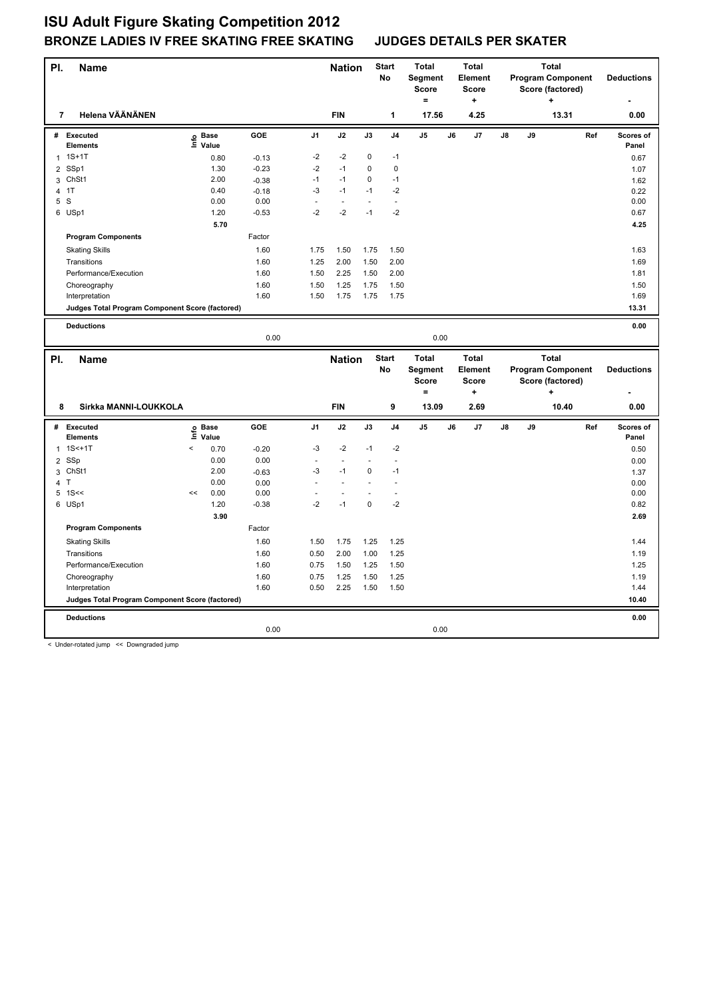| PI.            | Name                                            |         |                   |         |        | <b>Nation</b>  |             | <b>Start</b><br>No       | <b>Total</b><br>Segment<br><b>Score</b><br>$\equiv$ |    | <b>Total</b><br>Element<br><b>Score</b><br>$\ddot{}$ |    |    | <b>Total</b><br><b>Program Component</b><br>Score (factored)<br>٠ |     | <b>Deductions</b>  |
|----------------|-------------------------------------------------|---------|-------------------|---------|--------|----------------|-------------|--------------------------|-----------------------------------------------------|----|------------------------------------------------------|----|----|-------------------------------------------------------------------|-----|--------------------|
|                | Helena VÄÄNÄNEN<br>$\overline{7}$               |         |                   |         |        | <b>FIN</b>     |             | 1                        | 17.56                                               |    | 4.25                                                 |    |    | 13.31                                                             |     | 0.00               |
|                | # Executed<br><b>Elements</b>                   |         | e Base<br>⊑ Value | GOE     | J1     | J2             | J3          | J <sub>4</sub>           | J5                                                  | J6 | J7                                                   | J8 | J9 |                                                                   | Ref | Scores of<br>Panel |
| $\mathbf{1}$   | $1S+1T$                                         |         | 0.80              | $-0.13$ | $-2$   | $-2$           | 0           | $-1$                     |                                                     |    |                                                      |    |    |                                                                   |     | 0.67               |
| 2              | SSp1                                            |         | 1.30              | $-0.23$ | $-2$   | $-1$           | $\mathbf 0$ | $\mathbf 0$              |                                                     |    |                                                      |    |    |                                                                   |     | 1.07               |
|                | 3 ChSt1                                         |         | 2.00              | $-0.38$ | $-1$   | $-1$           | $\mathbf 0$ | $-1$                     |                                                     |    |                                                      |    |    |                                                                   |     | 1.62               |
| $\overline{4}$ | 1T                                              |         | 0.40              | $-0.18$ | $-3$   | $-1$           | $-1$        | $-2$                     |                                                     |    |                                                      |    |    |                                                                   |     | 0.22               |
|                | 5 S                                             |         | 0.00              | 0.00    | $\sim$ | $\sim$         | $\sim$      | $\overline{\phantom{a}}$ |                                                     |    |                                                      |    |    |                                                                   |     | 0.00               |
|                | 6 USp1                                          |         | 1.20              | $-0.53$ | $-2$   | $-2$           | $-1$        | $-2$                     |                                                     |    |                                                      |    |    |                                                                   |     | 0.67               |
|                |                                                 |         | 5.70              |         |        |                |             |                          |                                                     |    |                                                      |    |    |                                                                   |     | 4.25               |
|                | <b>Program Components</b>                       |         |                   | Factor  |        |                |             |                          |                                                     |    |                                                      |    |    |                                                                   |     |                    |
|                | <b>Skating Skills</b>                           |         |                   | 1.60    | 1.75   | 1.50           | 1.75        | 1.50                     |                                                     |    |                                                      |    |    |                                                                   |     | 1.63               |
|                | Transitions                                     |         |                   | 1.60    | 1.25   | 2.00           | 1.50        | 2.00                     |                                                     |    |                                                      |    |    |                                                                   |     | 1.69               |
|                | Performance/Execution                           |         |                   | 1.60    | 1.50   | 2.25           | 1.50        | 2.00                     |                                                     |    |                                                      |    |    |                                                                   |     | 1.81               |
|                | Choreography                                    |         |                   | 1.60    | 1.50   | 1.25           | 1.75        | 1.50                     |                                                     |    |                                                      |    |    |                                                                   |     | 1.50               |
|                | Interpretation                                  |         |                   | 1.60    | 1.50   | 1.75           | 1.75        | 1.75                     |                                                     |    |                                                      |    |    |                                                                   |     | 1.69               |
|                | Judges Total Program Component Score (factored) |         |                   |         |        |                |             |                          |                                                     |    |                                                      |    |    |                                                                   |     | 13.31              |
|                |                                                 |         |                   |         |        |                |             |                          |                                                     |    |                                                      |    |    |                                                                   |     |                    |
|                | <b>Deductions</b>                               |         |                   | 0.00    |        |                |             |                          | 0.00                                                |    |                                                      |    |    |                                                                   |     | 0.00               |
|                |                                                 |         |                   |         |        |                |             |                          |                                                     |    |                                                      |    |    |                                                                   |     |                    |
|                |                                                 |         |                   |         |        |                |             |                          |                                                     |    |                                                      |    |    |                                                                   |     |                    |
|                | Name                                            |         |                   |         |        | <b>Nation</b>  |             | <b>Start</b>             | <b>Total</b>                                        |    | <b>Total</b>                                         |    |    | <b>Total</b>                                                      |     |                    |
| PI.            |                                                 |         |                   |         |        |                |             | No                       | Segment                                             |    | Element                                              |    |    | <b>Program Component</b>                                          |     | <b>Deductions</b>  |
|                |                                                 |         |                   |         |        |                |             |                          | <b>Score</b>                                        |    | <b>Score</b>                                         |    |    | Score (factored)                                                  |     |                    |
|                |                                                 |         |                   |         |        |                |             |                          | $\equiv$                                            |    | $\ddot{}$                                            |    |    | ۰                                                                 |     |                    |
|                | Sirkka MANNI-LOUKKOLA<br>8                      |         |                   |         |        | <b>FIN</b>     |             | 9                        | 13.09                                               |    | 2.69                                                 |    |    | 10.40                                                             |     | 0.00               |
|                | # Executed                                      |         |                   | GOE     | J1     | J2             | J3          | J <sub>4</sub>           | $\mathsf{J}5$                                       | J6 | J7                                                   | J8 | J9 |                                                                   | Ref | Scores of          |
|                | <b>Elements</b>                                 |         | e Base<br>⊑ Value |         |        |                |             |                          |                                                     |    |                                                      |    |    |                                                                   |     | Panel              |
| 1              | $1S<+1T$                                        | $\prec$ | 0.70              | $-0.20$ | -3     | $-2$           | $-1$        | $-2$                     |                                                     |    |                                                      |    |    |                                                                   |     | 0.50               |
| $\overline{2}$ | SSp                                             |         | 0.00              | 0.00    | ÷.     | $\sim$         |             | $\overline{a}$           |                                                     |    |                                                      |    |    |                                                                   |     | 0.00               |
|                | 3 ChSt1                                         |         | 2.00              | $-0.63$ | -3     | $-1$           | 0           | $-1$                     |                                                     |    |                                                      |    |    |                                                                   |     | 1.37               |
| $\overline{4}$ | T                                               |         | 0.00              | 0.00    |        | $\overline{a}$ |             |                          |                                                     |    |                                                      |    |    |                                                                   |     | 0.00               |
| 5              | 1S<                                             | <<      | 0.00              | 0.00    | ÷.     | $\sim$         | ÷.          | ÷.                       |                                                     |    |                                                      |    |    |                                                                   |     | 0.00               |
|                | 6 USp1                                          |         | 1.20              | $-0.38$ | $-2$   | $-1$           | $\mathbf 0$ | $-2$                     |                                                     |    |                                                      |    |    |                                                                   |     | 0.82               |
|                |                                                 |         | 3.90              |         |        |                |             |                          |                                                     |    |                                                      |    |    |                                                                   |     | 2.69               |
|                | <b>Program Components</b>                       |         |                   | Factor  |        |                |             |                          |                                                     |    |                                                      |    |    |                                                                   |     |                    |
|                | <b>Skating Skills</b>                           |         |                   | 1.60    | 1.50   | 1.75           | 1.25        | 1.25                     |                                                     |    |                                                      |    |    |                                                                   |     | 1.44               |
|                | Transitions                                     |         |                   | 1.60    | 0.50   | 2.00           | 1.00        | 1.25                     |                                                     |    |                                                      |    |    |                                                                   |     | 1.19               |
|                | Performance/Execution                           |         |                   | 1.60    | 0.75   | 1.50           | 1.25        | 1.50                     |                                                     |    |                                                      |    |    |                                                                   |     | 1.25               |
|                | Choreography                                    |         |                   | 1.60    | 0.75   | 1.25           | 1.50        | 1.25                     |                                                     |    |                                                      |    |    |                                                                   |     | 1.19               |
|                | Interpretation                                  |         |                   | 1.60    | 0.50   | 2.25           | 1.50        | 1.50                     |                                                     |    |                                                      |    |    |                                                                   |     | 1.44               |
|                | Judges Total Program Component Score (factored) |         |                   |         |        |                |             |                          |                                                     |    |                                                      |    |    |                                                                   |     | 10.40              |
|                | <b>Deductions</b>                               |         |                   |         |        |                |             |                          |                                                     |    |                                                      |    |    |                                                                   |     | 0.00               |

< Under-rotated jump << Downgraded jump